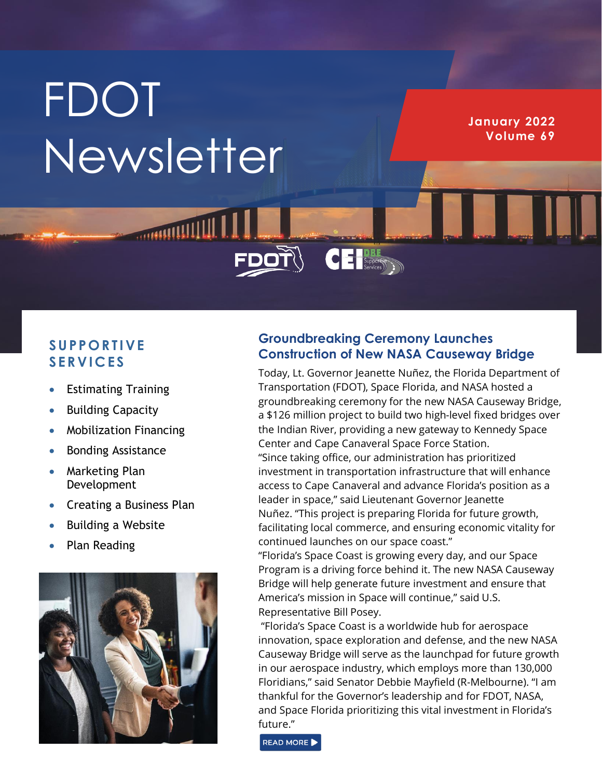# **FDOT** Newsletter

**HITHIRDROOM** 

**January 2022 Volume 69**

## **S U PPO R T I VE S E R VI C E S**

- Estimating Training
- Building Capacity
- Mobilization Financing
- Bonding Assistance
- Marketing Plan Development
- Creating a Business Plan
- Building a Website
- Plan Reading



### **Groundbreaking Ceremony Launches Construction of New NASA Causeway Bridge**

CE Supporter

Today, Lt. Governor Jeanette Nuñez, the Florida Department of Transportation (FDOT), Space Florida, and NASA hosted a groundbreaking ceremony for the new NASA Causeway Bridge, a \$126 million project to build two high-level fixed bridges over the Indian River, providing a new gateway to Kennedy Space Center and Cape Canaveral Space Force Station. "Since taking office, our administration has prioritized investment in transportation infrastructure that will enhance access to Cape Canaveral and advance Florida's position as a leader in space," said Lieutenant Governor Jeanette Nuñez. "This project is preparing Florida for future growth, facilitating local commerce, and ensuring economic vitality for continued launches on our space coast."

"Florida's Space Coast is growing every day, and our Space Program is a driving force behind it. The new NASA Causeway Bridge will help generate future investment and ensure that America's mission in Space will continue," said U.S. Representative Bill Posey.

"Florida's Space Coast is a worldwide hub for aerospace innovation, space exploration and defense, and the new NASA Causeway Bridge will serve as the launchpad for future growth in our aerospace industry, which employs more than 130,000 Floridians," said Senator Debbie Mayfield (R-Melbourne). "I am thankful for the Governor's leadership and for FDOT, NASA, and Space Florida prioritizing this vital investment in Florida's future."

READ MORE